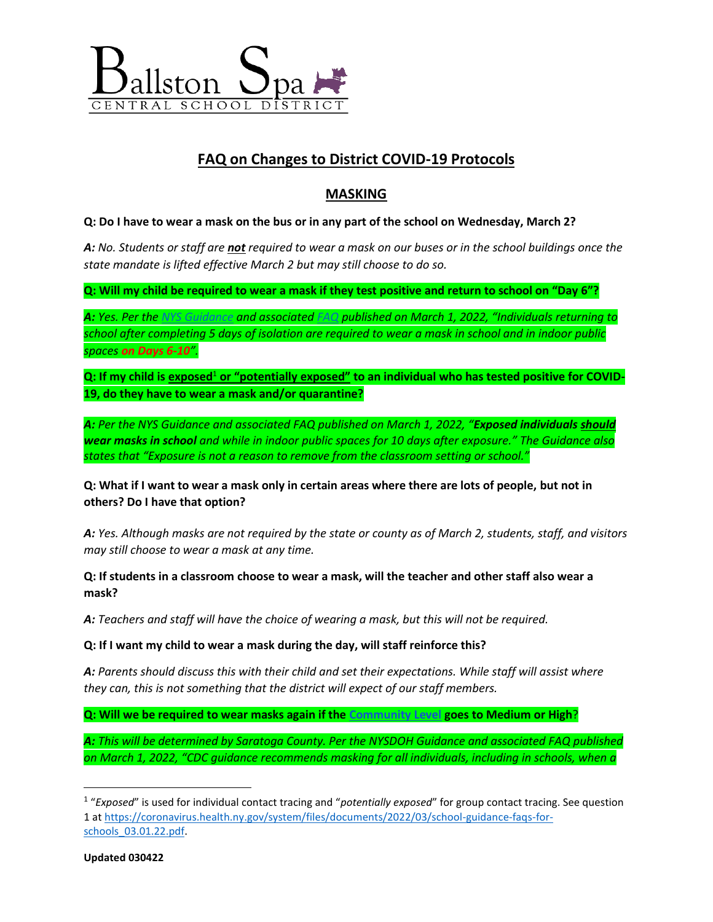

# **FAQ on Changes to District COVID-19 Protocols**

# **MASKING**

#### **Q: Do I have to wear a mask on the bus or in any part of the school on Wednesday, March 2?**

*A: No. Students or staff are not required to wear a mask on our buses or in the school buildings once the state mandate is lifted effective March 2 but may still choose to do so.* 

**Q: Will my child be required to wear a mask if they test positive and return to school on "Day 6"?** 

*A: Yes. Per th[e NYS Guidance](https://coronavirus.health.ny.gov/system/files/documents/2022/03/school-guidance-03.01.22_0.pdf) and associated [FAQ](https://coronavirus.health.ny.gov/system/files/documents/2022/03/school-guidance-faqs-for-schools_03.01.22.pdf) published on March 1, 2022, "Individuals returning to school after completing 5 days of isolation are required to wear a mask in school and in indoor public spaces on Days 6-10".* 

**Q: If my child is exposed**<sup>1</sup> **or "potentially exposed" to an individual who has tested positive for COVID-19, do they have to wear a mask and/or quarantine?**

*A: Per the NYS Guidance and associated FAQ published on March 1, 2022, "Exposed individuals should wear masks in school and while in indoor public spaces for 10 days after exposure." The Guidance also states that "Exposure is not a reason to remove from the classroom setting or school."*

**Q: What if I want to wear a mask only in certain areas where there are lots of people, but not in others? Do I have that option?**

*A: Yes. Although masks are not required by the state or county as of March 2, students, staff, and visitors may still choose to wear a mask at any time.* 

**Q: If students in a classroom choose to wear a mask, will the teacher and other staff also wear a mask?**

*A: Teachers and staff will have the choice of wearing a mask, but this will not be required.* 

**Q: If I want my child to wear a mask during the day, will staff reinforce this?**

*A: Parents should discuss this with their child and set their expectations. While staff will assist where they can, this is not something that the district will expect of our staff members.* 

**Q: Will we be required to wear masks again if the [Community Level](https://www.cdc.gov/coronavirus/2019-ncov/your-health/covid-by-county.html) goes to Medium or High**?

*A: This will be determined by Saratoga County. Per the NYSDOH Guidance and associated FAQ published on March 1, 2022, "CDC guidance recommends masking for all individuals, including in schools, when a* 

 $\overline{\phantom{a}}$ 

<sup>1</sup> "*Exposed*" is used for individual contact tracing and "*potentially exposed*" for group contact tracing. See question 1 a[t https://coronavirus.health.ny.gov/system/files/documents/2022/03/school-guidance-faqs-for](https://coronavirus.health.ny.gov/system/files/documents/2022/03/school-guidance-faqs-for-schools_03.01.22.pdf)[schools\\_03.01.22.pdf.](https://coronavirus.health.ny.gov/system/files/documents/2022/03/school-guidance-faqs-for-schools_03.01.22.pdf)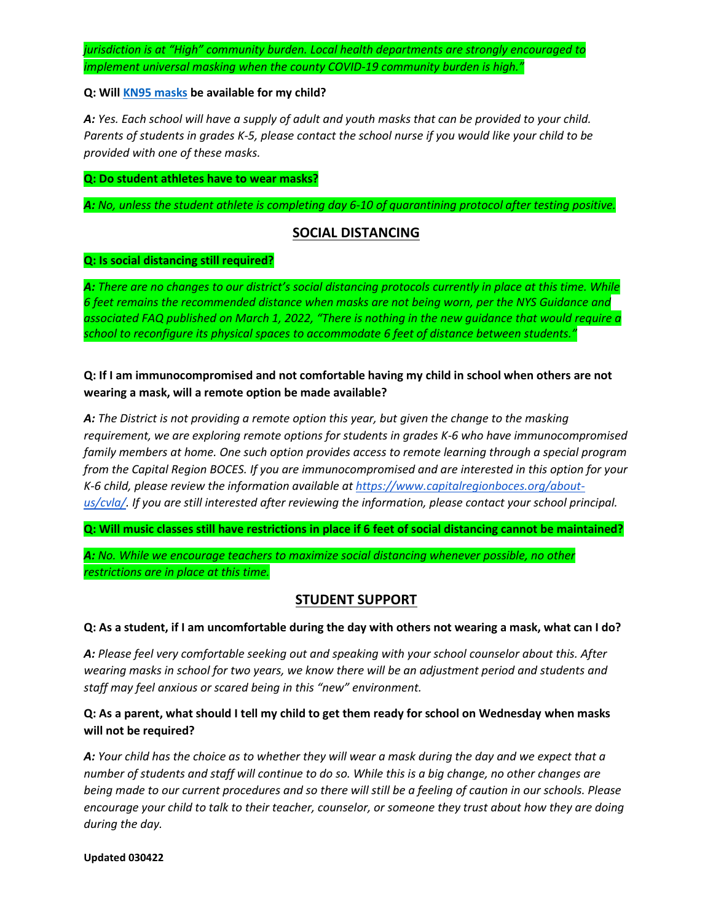*jurisdiction is at "High" community burden. Local health departments are strongly encouraged to implement universal masking when the county COVID-19 community burden is high."*

#### **Q: Wil[l KN95 masks](https://www.cdc.gov/coronavirus/2019-ncov/prevent-getting-sick/about-face-coverings.html?CDC_AA_refVal=https%3A%2F%2Fwww.cdc.gov%2Fcoronavirus%2F2019-ncov%2Fyour-health%2Feffective-masks.html) be available for my child?**

*A: Yes. Each school will have a supply of adult and youth masks that can be provided to your child. Parents of students in grades K-5, please contact the school nurse if you would like your child to be provided with one of these masks.* 

#### **Q: Do student athletes have to wear masks?**

*A: No, unless the student athlete is completing day 6-10 of quarantining protocol after testing positive.*

### **SOCIAL DISTANCING**

#### **Q: Is social distancing still required?**

*A: There are no changes to our district's social distancing protocols currently in place at this time. While 6 feet remains the recommended distance when masks are not being worn, per the NYS Guidance and associated FAQ published on March 1, 2022, "There is nothing in the new guidance that would require a school to reconfigure its physical spaces to accommodate 6 feet of distance between students."*

### **Q: If I am immunocompromised and not comfortable having my child in school when others are not wearing a mask, will a remote option be made available?**

*A: The District is not providing a remote option this year, but given the change to the masking requirement, we are exploring remote options for students in grades K-6 who have immunocompromised family members at home. One such option provides access to remote learning through a special program from the Capital Region BOCES. If you are immunocompromised and are interested in this option for your K-6 child, please review the information available a[t https://www.capitalregionboces.org/about](https://www.capitalregionboces.org/about-us/cvla/)[us/cvla/.](https://www.capitalregionboces.org/about-us/cvla/) If you are still interested after reviewing the information, please contact your school principal.*

**Q: Will music classes still have restrictions in place if 6 feet of social distancing cannot be maintained?**

*A: No. While we encourage teachers to maximize social distancing whenever possible, no other restrictions are in place at this time.*

# **STUDENT SUPPORT**

#### **Q: As a student, if I am uncomfortable during the day with others not wearing a mask, what can I do?**

*A: Please feel very comfortable seeking out and speaking with your school counselor about this. After wearing masks in school for two years, we know there will be an adjustment period and students and staff may feel anxious or scared being in this "new" environment.* 

## **Q: As a parent, what should I tell my child to get them ready for school on Wednesday when masks will not be required?**

*A: Your child has the choice as to whether they will wear a mask during the day and we expect that a number of students and staff will continue to do so. While this is a big change, no other changes are being made to our current procedures and so there will still be a feeling of caution in our schools. Please encourage your child to talk to their teacher, counselor, or someone they trust about how they are doing during the day.* 

#### **Updated 030422**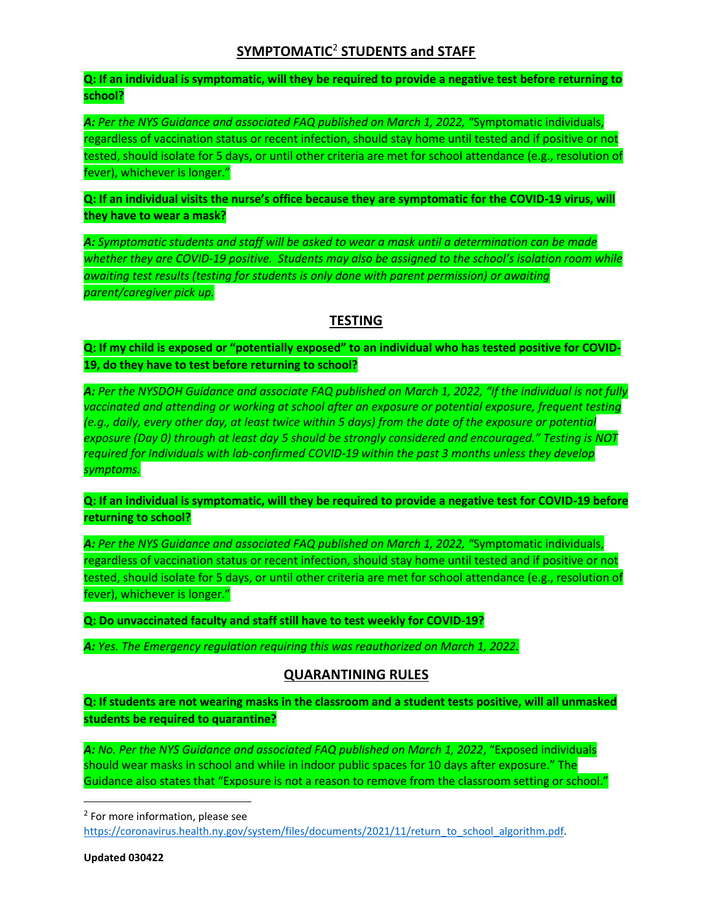# **SYMPTOMATIC**<sup>2</sup> **STUDENTS and STAFF**

**Q: If an individual is symptomatic, will they be required to provide a negative test before returning to school?**

*A: Per the NYS Guidance and associated FAQ published on March 1, 2022, "*Symptomatic individuals, regardless of vaccination status or recent infection, should stay home until tested and if positive or not tested, should isolate for 5 days, or until other criteria are met for school attendance (e.g., resolution of fever), whichever is longer."

**Q: If an individual visits the nurse's office because they are symptomatic for the COVID-19 virus, will they have to wear a mask?**

*A: Symptomatic students and staff will be asked to wear a mask until a determination can be made whether they are COVID-19 positive. Students may also be assigned to the school's isolation room while awaiting test results (testing for students is only done with parent permission) or awaiting parent/caregiver pick up.* 

# **TESTING**

**Q: If my child is exposed or "potentially exposed" to an individual who has tested positive for COVID-19, do they have to test before returning to school?**

*A: Per the NYSDOH Guidance and associate FAQ published on March 1, 2022, "If the individual is not fully vaccinated and attending or working at school after an exposure or potential exposure, frequent testing (e.g., daily, every other day, at least twice within 5 days) from the date of the exposure or potential exposure (Day 0) through at least day 5 should be strongly considered and encouraged." Testing is NOT required for Individuals with lab-confirmed COVID-19 within the past 3 months unless they develop symptoms.* 

**Q: If an individual is symptomatic, will they be required to provide a negative test for COVID-19 before returning to school?**

*A: Per the NYS Guidance and associated FAQ published on March 1, 2022, "*Symptomatic individuals, regardless of vaccination status or recent infection, should stay home until tested and if positive or not tested, should isolate for 5 days, or until other criteria are met for school attendance (e.g., resolution of fever), whichever is longer."

**Q: Do unvaccinated faculty and staff still have to test weekly for COVID-19?**

*A: Yes. The Emergency regulation requiring this was reauthorized on March 1, 2022.*

### **QUARANTINING RULES**

**Q: If students are not wearing masks in the classroom and a student tests positive, will all unmasked students be required to quarantine?**

*A: No. Per the NYS Guidance and associated FAQ published on March 1, 2022*, "Exposed individuals should wear masks in school and while in indoor public spaces for 10 days after exposure." The Guidance also states that "Exposure is not a reason to remove from the classroom setting or school."

<sup>2</sup> For more information, please see

[https://coronavirus.health.ny.gov/system/files/documents/2021/11/return\\_to\\_school\\_algorithm.pdf.](https://coronavirus.health.ny.gov/system/files/documents/2021/11/return_to_school_algorithm.pdf)

 $\overline{\phantom{a}}$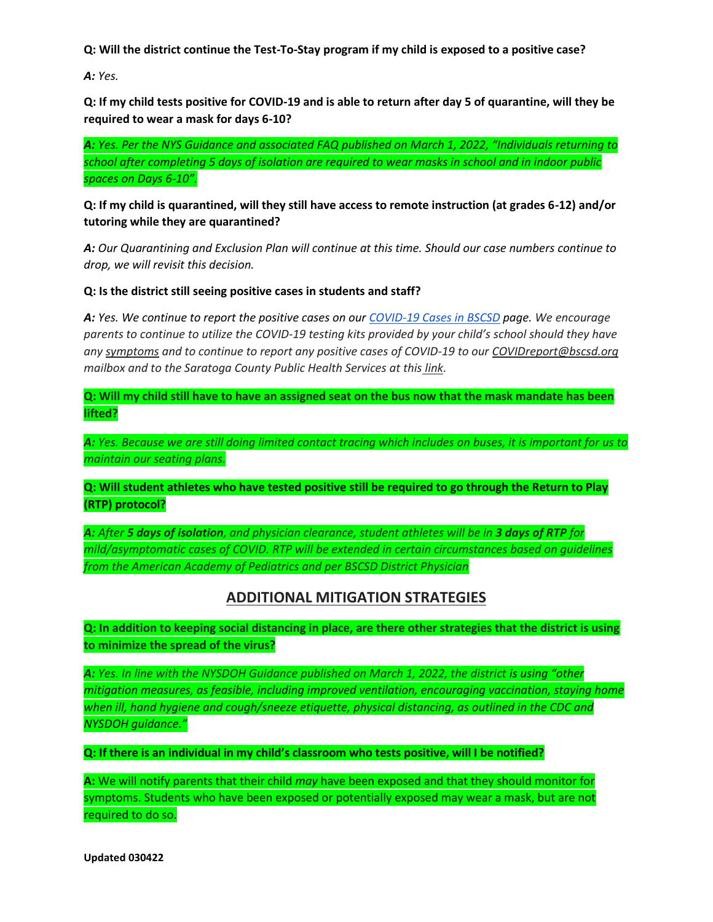**Q: Will the district continue the Test-To-Stay program if my child is exposed to a positive case?**

*A: Yes.* 

**Q: If my child tests positive for COVID-19 and is able to return after day 5 of quarantine, will they be required to wear a mask for days 6-10?**

*A: Yes. Per the NYS Guidance and associated FAQ published on March 1, 2022, "Individuals returning to school after completing 5 days of isolation are required to wear masks in school and in indoor public spaces on Days 6-10".*

### **Q: If my child is quarantined, will they still have access to remote instruction (at grades 6-12) and/or tutoring while they are quarantined?**

*A: Our Quarantining and Exclusion Plan will continue at this time. Should our case numbers continue to drop, we will revisit this decision.*

**Q: Is the district still seeing positive cases in students and staff?**

*A: Yes. We continue to report the positive cases on our [COVID-19 Cases in BSCSD](https://www.bscsd.org/Page/13242) page. We encourage parents to continue to utilize the COVID-19 testing kits provided by your child's school should they have any [symptoms](https://www.cdc.gov/coronavirus/2019-ncov/symptoms-testing/symptoms.html) and to continue to report any positive cases of COVID-19 to our COVIDreport@bscsd.org mailbox and to the Saratoga County Public Health Services at this [link.](https://www.saratogacountyny.gov/departments/publichealth/covid19/isolationaffirmation2/)* 

**Q: Will my child still have to have an assigned seat on the bus now that the mask mandate has been lifted?**

*A: Yes. Because we are still doing limited contact tracing which includes on buses, it is important for us to maintain our seating plans.* 

**Q: Will student athletes who have tested positive still be required to go through the Return to Play (RTP) protocol?**

*A: After 5 days of isolation, and physician clearance, student athletes will be in 3 days of RTP for mild/asymptomatic cases of COVID. RTP will be extended in certain circumstances based on guidelines from the American Academy of Pediatrics and per BSCSD District Physician*

# **ADDITIONAL MITIGATION STRATEGIES**

**Q: In addition to keeping social distancing in place, are there other strategies that the district is using to minimize the spread of the virus?**

*A: Yes. In line with the NYSDOH Guidance published on March 1, 2022, the district is using "other mitigation measures, as feasible, including improved ventilation, encouraging vaccination, staying home when ill, hand hygiene and cough/sneeze etiquette, physical distancing, as outlined in the CDC and NYSDOH guidance."*

**Q: If there is an individual in my child's classroom who tests positive, will I be notified?**

**A:** We will notify parents that their child *may* have been exposed and that they should monitor for symptoms. Students who have been exposed or potentially exposed may wear a mask, but are not required to do so.